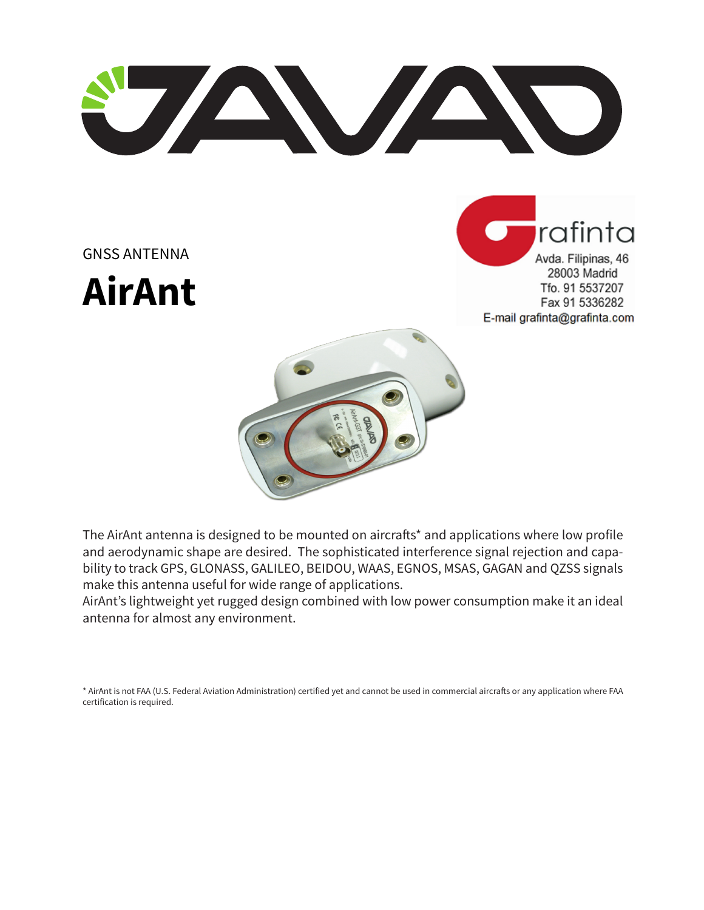U AVAND

GNSS ANTENNA

**AirAnt**





The AirAnt antenna is designed to be mounted on aircrafts\* and applications where low profile and aerodynamic shape are desired. The sophisticated interference signal rejection and capability to track GPS, GLONASS, GALILEO, BEIDOU, WAAS, EGNOS, MSAS, GAGAN and QZSS signals make this antenna useful for wide range of applications.

AirAnt's lightweight yet rugged design combined with low power consumption make it an ideal antenna for almost any environment.

\* AirAnt is not FAA (U.S. Federal Aviation Administration) certified yet and cannot be used in commercial aircrafts or any application where FAA certification is required.